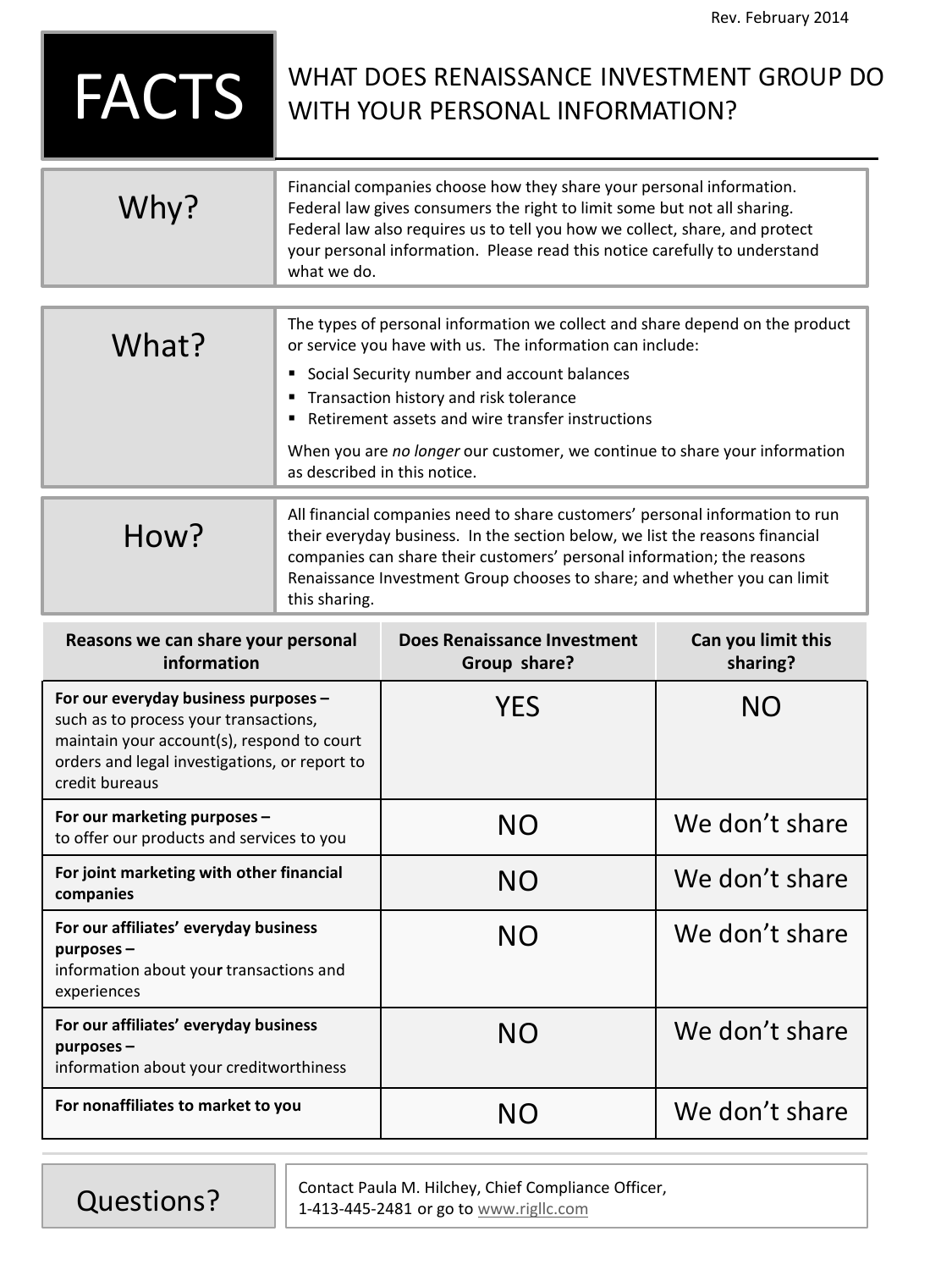**FACTS** WHAT DOES RENAISSANCE INVESTMENT GROUP DO WITH YOUR PERSONAL INFORMATION?

| Why? | Financial companies choose how they share your personal information.<br>Federal law gives consumers the right to limit some but not all sharing.<br>Federal law also requires us to tell you how we collect, share, and protect<br>your personal information. Please read this notice carefully to understand<br>what we do. |
|------|------------------------------------------------------------------------------------------------------------------------------------------------------------------------------------------------------------------------------------------------------------------------------------------------------------------------------|
|------|------------------------------------------------------------------------------------------------------------------------------------------------------------------------------------------------------------------------------------------------------------------------------------------------------------------------------|

| What? | The types of personal information we collect and share depend on the product<br>or service you have with us. The information can include:<br>• Social Security number and account balances<br>■ Transaction history and risk tolerance<br>■ Retirement assets and wire transfer instructions<br>When you are no longer our customer, we continue to share your information<br>as described in this notice. |
|-------|------------------------------------------------------------------------------------------------------------------------------------------------------------------------------------------------------------------------------------------------------------------------------------------------------------------------------------------------------------------------------------------------------------|
|       | All financial companies need to share customers' personal information to run                                                                                                                                                                                                                                                                                                                               |

| How?<br>this sharing. | All financial companies need to share customers' personal information to run.<br>their everyday business. In the section below, we list the reasons financial<br>companies can share their customers' personal information; the reasons<br>Renaissance Investment Group chooses to share; and whether you can limit |
|-----------------------|---------------------------------------------------------------------------------------------------------------------------------------------------------------------------------------------------------------------------------------------------------------------------------------------------------------------|
|-----------------------|---------------------------------------------------------------------------------------------------------------------------------------------------------------------------------------------------------------------------------------------------------------------------------------------------------------------|

| Reasons we can share your personal<br>information                                                                                                                                              | Does Renaissance Investment<br>Group share? | Can you limit this<br>sharing? |
|------------------------------------------------------------------------------------------------------------------------------------------------------------------------------------------------|---------------------------------------------|--------------------------------|
| For our everyday business purposes -<br>such as to process your transactions,<br>maintain your account(s), respond to court<br>orders and legal investigations, or report to<br>credit bureaus | <b>YES</b>                                  | <b>NO</b>                      |
| For our marketing purposes -<br>to offer our products and services to you                                                                                                                      | <b>NO</b>                                   | We don't share                 |
| For joint marketing with other financial<br>companies                                                                                                                                          | <b>NO</b>                                   | We don't share                 |
| For our affiliates' everyday business<br>$p$ urposes –<br>information about your transactions and<br>experiences                                                                               | NO                                          | We don't share                 |
| For our affiliates' everyday business<br>$p$ urposes –<br>information about your creditworthiness                                                                                              | <b>NO</b>                                   | We don't share                 |
| For nonaffiliates to market to you                                                                                                                                                             | NΟ                                          | We don't share                 |

Questions? Contact Paula M. Hilchey, Chief Compliance Officer, 1-413-445-2481 or go to [www.rigllc.com](http://www.rigllc.com/)